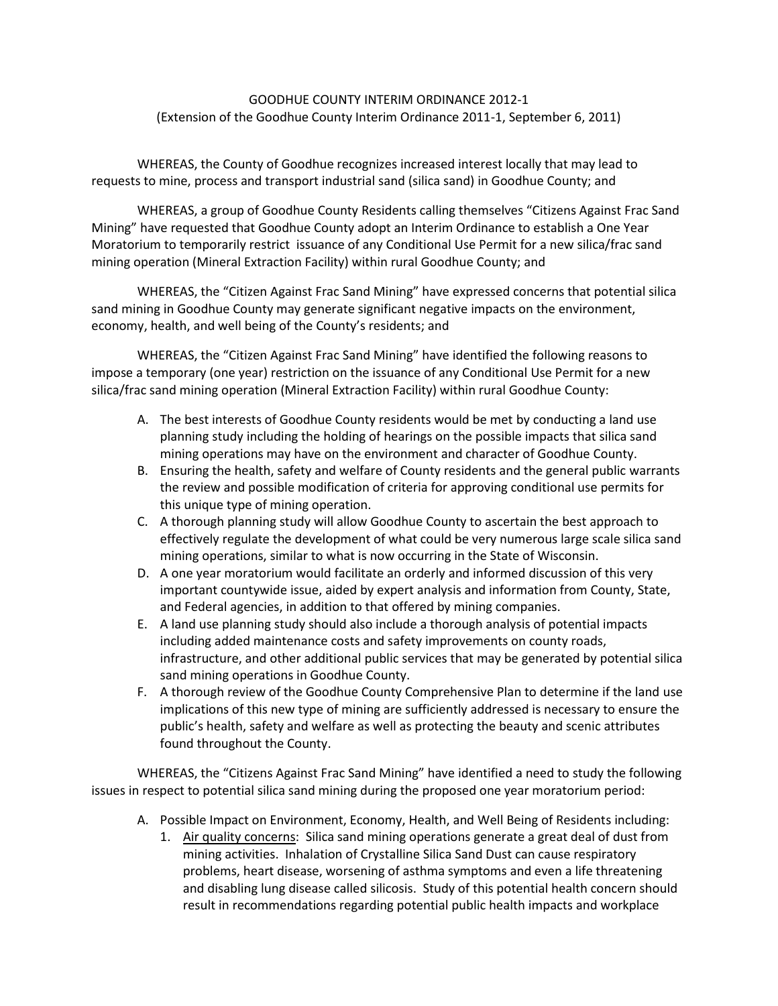## GOODHUE COUNTY INTERIM ORDINANCE 2012-1 (Extension of the Goodhue County Interim Ordinance 2011-1, September 6, 2011)

WHEREAS, the County of Goodhue recognizes increased interest locally that may lead to requests to mine, process and transport industrial sand (silica sand) in Goodhue County; and

WHEREAS, a group of Goodhue County Residents calling themselves "Citizens Against Frac Sand Mining" have requested that Goodhue County adopt an Interim Ordinance to establish a One Year Moratorium to temporarily restrict issuance of any Conditional Use Permit for a new silica/frac sand mining operation (Mineral Extraction Facility) within rural Goodhue County; and

WHEREAS, the "Citizen Against Frac Sand Mining" have expressed concerns that potential silica sand mining in Goodhue County may generate significant negative impacts on the environment, economy, health, and well being of the County's residents; and

WHEREAS, the "Citizen Against Frac Sand Mining" have identified the following reasons to impose a temporary (one year) restriction on the issuance of any Conditional Use Permit for a new silica/frac sand mining operation (Mineral Extraction Facility) within rural Goodhue County:

- A. The best interests of Goodhue County residents would be met by conducting a land use planning study including the holding of hearings on the possible impacts that silica sand mining operations may have on the environment and character of Goodhue County.
- B. Ensuring the health, safety and welfare of County residents and the general public warrants the review and possible modification of criteria for approving conditional use permits for this unique type of mining operation.
- C. A thorough planning study will allow Goodhue County to ascertain the best approach to effectively regulate the development of what could be very numerous large scale silica sand mining operations, similar to what is now occurring in the State of Wisconsin.
- D. A one year moratorium would facilitate an orderly and informed discussion of this very important countywide issue, aided by expert analysis and information from County, State, and Federal agencies, in addition to that offered by mining companies.
- E. A land use planning study should also include a thorough analysis of potential impacts including added maintenance costs and safety improvements on county roads, infrastructure, and other additional public services that may be generated by potential silica sand mining operations in Goodhue County.
- F. A thorough review of the Goodhue County Comprehensive Plan to determine if the land use implications of this new type of mining are sufficiently addressed is necessary to ensure the public's health, safety and welfare as well as protecting the beauty and scenic attributes found throughout the County.

WHEREAS, the "Citizens Against Frac Sand Mining" have identified a need to study the following issues in respect to potential silica sand mining during the proposed one year moratorium period:

- A. Possible Impact on Environment, Economy, Health, and Well Being of Residents including:
	- 1. Air quality concerns: Silica sand mining operations generate a great deal of dust from mining activities. Inhalation of Crystalline Silica Sand Dust can cause respiratory problems, heart disease, worsening of asthma symptoms and even a life threatening and disabling lung disease called silicosis. Study of this potential health concern should result in recommendations regarding potential public health impacts and workplace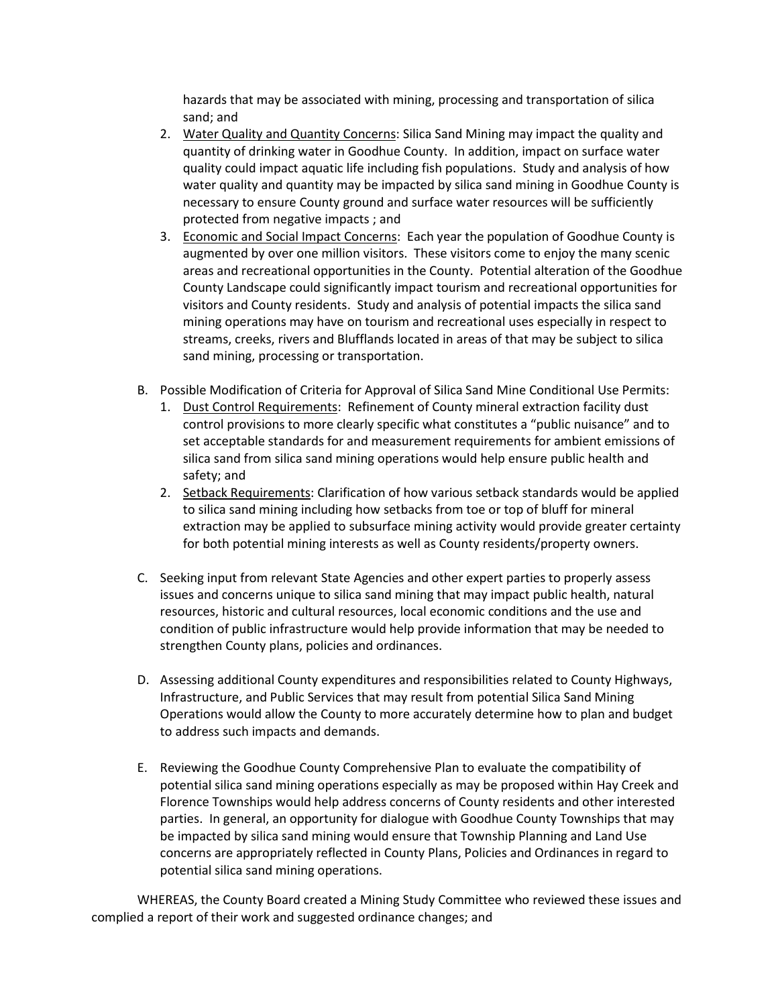hazards that may be associated with mining, processing and transportation of silica sand; and

- 2. Water Quality and Quantity Concerns: Silica Sand Mining may impact the quality and quantity of drinking water in Goodhue County. In addition, impact on surface water quality could impact aquatic life including fish populations. Study and analysis of how water quality and quantity may be impacted by silica sand mining in Goodhue County is necessary to ensure County ground and surface water resources will be sufficiently protected from negative impacts ; and
- 3. Economic and Social Impact Concerns: Each year the population of Goodhue County is augmented by over one million visitors. These visitors come to enjoy the many scenic areas and recreational opportunities in the County. Potential alteration of the Goodhue County Landscape could significantly impact tourism and recreational opportunities for visitors and County residents. Study and analysis of potential impacts the silica sand mining operations may have on tourism and recreational uses especially in respect to streams, creeks, rivers and Blufflands located in areas of that may be subject to silica sand mining, processing or transportation.
- B. Possible Modification of Criteria for Approval of Silica Sand Mine Conditional Use Permits:
	- 1. Dust Control Requirements: Refinement of County mineral extraction facility dust control provisions to more clearly specific what constitutes a "public nuisance" and to set acceptable standards for and measurement requirements for ambient emissions of silica sand from silica sand mining operations would help ensure public health and safety; and
	- 2. Setback Requirements: Clarification of how various setback standards would be applied to silica sand mining including how setbacks from toe or top of bluff for mineral extraction may be applied to subsurface mining activity would provide greater certainty for both potential mining interests as well as County residents/property owners.
- C. Seeking input from relevant State Agencies and other expert parties to properly assess issues and concerns unique to silica sand mining that may impact public health, natural resources, historic and cultural resources, local economic conditions and the use and condition of public infrastructure would help provide information that may be needed to strengthen County plans, policies and ordinances.
- D. Assessing additional County expenditures and responsibilities related to County Highways, Infrastructure, and Public Services that may result from potential Silica Sand Mining Operations would allow the County to more accurately determine how to plan and budget to address such impacts and demands.
- E. Reviewing the Goodhue County Comprehensive Plan to evaluate the compatibility of potential silica sand mining operations especially as may be proposed within Hay Creek and Florence Townships would help address concerns of County residents and other interested parties. In general, an opportunity for dialogue with Goodhue County Townships that may be impacted by silica sand mining would ensure that Township Planning and Land Use concerns are appropriately reflected in County Plans, Policies and Ordinances in regard to potential silica sand mining operations.

WHEREAS, the County Board created a Mining Study Committee who reviewed these issues and complied a report of their work and suggested ordinance changes; and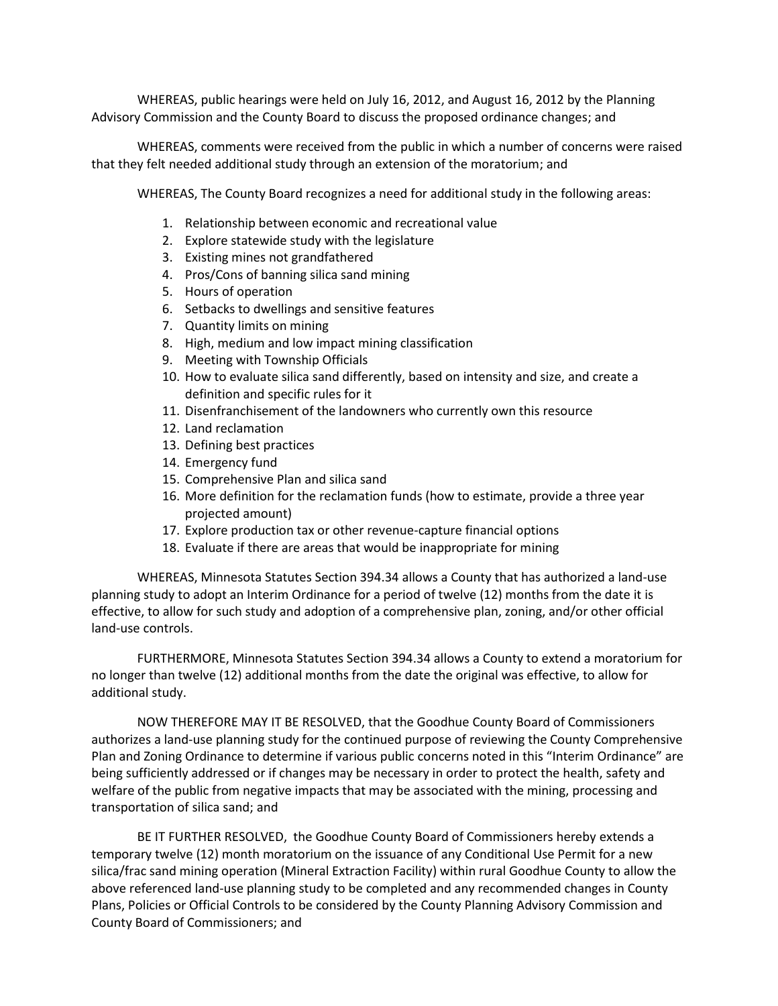WHEREAS, public hearings were held on July 16, 2012, and August 16, 2012 by the Planning Advisory Commission and the County Board to discuss the proposed ordinance changes; and

WHEREAS, comments were received from the public in which a number of concerns were raised that they felt needed additional study through an extension of the moratorium; and

WHEREAS, The County Board recognizes a need for additional study in the following areas:

- 1. Relationship between economic and recreational value
- 2. Explore statewide study with the legislature
- 3. Existing mines not grandfathered
- 4. Pros/Cons of banning silica sand mining
- 5. Hours of operation
- 6. Setbacks to dwellings and sensitive features
- 7. Quantity limits on mining
- 8. High, medium and low impact mining classification
- 9. Meeting with Township Officials
- 10. How to evaluate silica sand differently, based on intensity and size, and create a definition and specific rules for it
- 11. Disenfranchisement of the landowners who currently own this resource
- 12. Land reclamation
- 13. Defining best practices
- 14. Emergency fund
- 15. Comprehensive Plan and silica sand
- 16. More definition for the reclamation funds (how to estimate, provide a three year projected amount)
- 17. Explore production tax or other revenue-capture financial options
- 18. Evaluate if there are areas that would be inappropriate for mining

WHEREAS, Minnesota Statutes Section 394.34 allows a County that has authorized a land-use planning study to adopt an Interim Ordinance for a period of twelve (12) months from the date it is effective, to allow for such study and adoption of a comprehensive plan, zoning, and/or other official land-use controls.

FURTHERMORE, Minnesota Statutes Section 394.34 allows a County to extend a moratorium for no longer than twelve (12) additional months from the date the original was effective, to allow for additional study.

NOW THEREFORE MAY IT BE RESOLVED, that the Goodhue County Board of Commissioners authorizes a land-use planning study for the continued purpose of reviewing the County Comprehensive Plan and Zoning Ordinance to determine if various public concerns noted in this "Interim Ordinance" are being sufficiently addressed or if changes may be necessary in order to protect the health, safety and welfare of the public from negative impacts that may be associated with the mining, processing and transportation of silica sand; and

BE IT FURTHER RESOLVED, the Goodhue County Board of Commissioners hereby extends a temporary twelve (12) month moratorium on the issuance of any Conditional Use Permit for a new silica/frac sand mining operation (Mineral Extraction Facility) within rural Goodhue County to allow the above referenced land-use planning study to be completed and any recommended changes in County Plans, Policies or Official Controls to be considered by the County Planning Advisory Commission and County Board of Commissioners; and